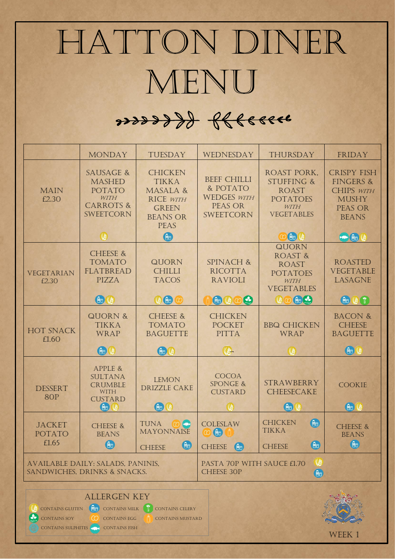## Hatton diner MENU

#### 22222228 Pffeeee

|                                                                                                                                                                                 | <b>MONDAY</b>                                                                                                | TUESDAY                                                                                                 | WEDNESDAY                                                                           | THURSDAY                                                                                                          | <b>FRIDAY</b>                                                                                                                                                      |  |
|---------------------------------------------------------------------------------------------------------------------------------------------------------------------------------|--------------------------------------------------------------------------------------------------------------|---------------------------------------------------------------------------------------------------------|-------------------------------------------------------------------------------------|-------------------------------------------------------------------------------------------------------------------|--------------------------------------------------------------------------------------------------------------------------------------------------------------------|--|
| <b>MAIN</b><br>£2.30                                                                                                                                                            | <b>SAUSAGE &amp;</b><br><b>MASHED</b><br>POTATO<br>WITH<br><b>CARROTS &amp;</b><br>SWEETCORN<br>$\mathbf{G}$ | <b>CHICKEN</b><br>TIKKA<br>MASALA &<br>RICE WITH<br><b>GREEN</b><br><b>BEANS OR</b><br><b>PEAS</b><br>6 | <b>BEEF CHILLI</b><br>& POTATO<br><b>WEDGES WITH</b><br><b>PEAS OR</b><br>SWEETCORN | ROAST PORK.<br><b>STUFFING &amp;</b><br><b>ROAST</b><br><b>POTATOES</b><br>WITH<br><b>VEGETABLES</b><br><b>AD</b> | <b>CRISPY FISH</b><br><b>FINGERS &amp;</b><br><b>CHIPS WITH</b><br><b>MUSHY</b><br><b>PEAS OR</b><br><b>BEANS</b><br>$\leftrightarrow$ $\left(\frac{1}{10}\right)$ |  |
| <b>VEGETARIAN</b><br>£2.30                                                                                                                                                      | <b>CHEESE &amp;</b><br><b>TOMATO</b><br><b>FLATBREAD</b><br><b>PIZZA</b><br>自                                | QUORN<br><b>CHILLI</b><br><b>TACOS</b><br>$\mathbb{C}$ $\oplus$ $\mathbb{C}$                            | <b>SPINACH &amp;</b><br><b>RICOTTA</b><br><b>RAVIOLI</b><br>G<br>自                  | QUORN<br>ROAST &<br><b>ROAST</b><br><b>POTATOES</b><br>WITH<br><b>VEGETABLES</b><br>自身<br>$\mathbb{C}$            | <b>ROASTED</b><br><b>VEGETABLE</b><br>LASAGNE<br>$A\neg$ ( $B$ $T$ )                                                                                               |  |
| <b>HOT SNACK</b><br>£1.60                                                                                                                                                       | QUORN &<br>TIKKA<br>WRAP<br>$\mathbf{u}$                                                                     | <b>CHEESE &amp;</b><br><b>TOMATO</b><br><b>BAGUETTE</b>                                                 | <b>CHICKEN</b><br><b>POCKET</b><br><b>PITTA</b><br>$\mathbf{C}$                     | <b>BBQ CHICKEN</b><br>WRAP                                                                                        | <b>BACON &amp;</b><br><b>CHEESE</b><br><b>BAGUETTE</b><br>$\bigoplus$<br>(ಅ                                                                                        |  |
| <b>DESSERT</b><br><b>80P</b>                                                                                                                                                    | 自<br><b>APPLE &amp;</b><br><b>SULTANA</b><br><b>CRUMBLE</b><br><b>WITH</b><br><b>CUSTARD</b><br>曲            | 自己(也<br><b>LEMON</b><br><b>DRIZZLE CAKE</b><br>$\bigoplus$                                              | <b>COCOA</b><br><b>SPONGE &amp;</b><br><b>CUSTARD</b>                               | <b>STRAWBERRY</b><br><b>CHEESECAKE</b><br>$\bigoplus$                                                             | <b>COOKIE</b><br>(自日)(                                                                                                                                             |  |
| <b>JACKET</b><br>POTATO<br>£1.65                                                                                                                                                | <b>CHEESE &amp;</b><br><b>BEANS</b><br>eo                                                                    | <b>TUNA</b><br>$\bullet$<br><b>MAYONNAISE</b><br>$\bigoplus$<br><b>CHEESE</b>                           | <b>COLESLAW</b><br>$\bigoplus$<br><b>CHEESE</b><br>ed.                              | $\bigoplus$<br><b>CHICKEN</b><br><b>TIKKA</b><br>A <sub>0</sub><br><b>CHEESE</b>                                  | <b>CHEESE &amp;</b><br><b>BEANS</b><br>$\left($ An                                                                                                                 |  |
|                                                                                                                                                                                 | <b>AVAILABLE DAILY: SALADS, PANINIS,</b><br>SANDWICHES, DRINKS & SNACKS.                                     |                                                                                                         | <u>(2</u><br>PASTA 70P WITH SAUCE £1.70<br><b>CHEESE 30P</b><br>$\bigoplus$         |                                                                                                                   |                                                                                                                                                                    |  |
| <b>ALLERGEN KEY</b><br><b>CONTAINS MILK</b><br>CONTAINS GLUTEN<br>$\Theta$ a<br><b>CONTAINS CELERY</b><br><b>CONTAINS SOY</b><br><b>CONTAINS EGG</b><br><b>CONTAINS MUSTARD</b> |                                                                                                              |                                                                                                         |                                                                                     |                                                                                                                   |                                                                                                                                                                    |  |

**CONTAINS SULPHITES** CONTAINS FISH

í

k

e

WEEK 1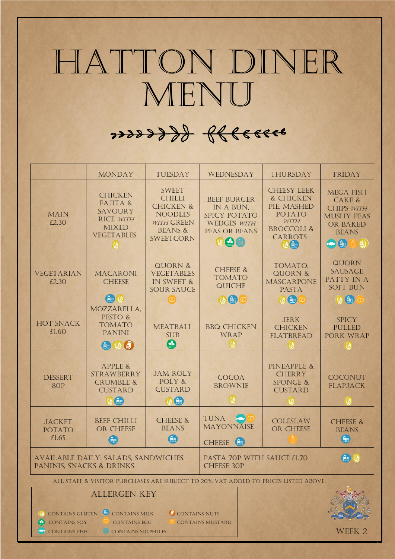### Hatton diner MENU

#### 22222228 Pffeeee

|                                                                                                                                                          | <b>MONDAY</b>                                                                                                    | TUESDAY                                                                                                                  | WEDNESDAY                                                                                                   | <b>THURSDAY</b>                                                                                                  | <b>FRIDAY</b>                                                                                                                       |  |
|----------------------------------------------------------------------------------------------------------------------------------------------------------|------------------------------------------------------------------------------------------------------------------|--------------------------------------------------------------------------------------------------------------------------|-------------------------------------------------------------------------------------------------------------|------------------------------------------------------------------------------------------------------------------|-------------------------------------------------------------------------------------------------------------------------------------|--|
| <b>MAIN</b><br>£2.30                                                                                                                                     | <b>CHICKEN</b><br><b>FAJITA &amp;</b><br><b>SAVOURY</b><br><b>RICE WITH</b><br><b>MIXED</b><br><b>VEGETABLES</b> | <b>SWEET</b><br><b>CHILLI</b><br><b>CHICKEN &amp;</b><br><b>NOODLES</b><br>WITH GREEN<br><b>BEANS &amp;</b><br>SWEETCORN | <b>BEEF BURGER</b><br>IN A BUN.<br>SPICY POTATO<br><b>WEDGES WITH</b><br><b>PEAS OR BEANS</b><br>$\bigcirc$ | <b>CHEESY LEEK</b><br>& CHICKEN<br>PIE, MASHED<br>POTATO<br>WITH<br><b>BROCCOLI &amp;</b><br><b>CARROTS</b><br>自 | <b>MEGA FISH</b><br><b>CAKE &amp;</b><br><b>CHIPS WITH</b><br><b>MUSHY PEAS</b><br><b>OR BAKED</b><br><b>BEANS</b><br>$\rightarrow$ |  |
| <b>VEGETARIAN</b><br>£2.30                                                                                                                               | <b>MACARONI</b><br><b>CHEESE</b><br>$\bigoplus$                                                                  | QUORN &<br><b>VEGETABLES</b><br>IN SWEET &<br><b>SOUR SAUCE</b>                                                          | <b>CHEESE &amp;</b><br><b>TOMATO</b><br>QUICHE<br>4<br>$\infty$                                             | TOMATO,<br>QUORN &<br><b>MASCARPONE</b><br><b>PASTA</b><br>自                                                     | QUORN<br><b>SAUSAGE</b><br>PATTY IN A<br><b>SOFT BUN</b><br>$\bigoplus$                                                             |  |
| <b>HOT SNACK</b><br>£1.60                                                                                                                                | MOZZARELLA.<br>PESTO &<br><b>TOMATO</b><br>PANINI<br>$(e_4)$<br>自                                                | <b>MEATBALL</b><br><b>SUB</b><br>$\mathbf{Q}$                                                                            | <b>BBQ CHICKEN</b><br>WRAP<br>$\mathbb{C}$                                                                  | <b>JERK</b><br><b>CHICKEN</b><br><b>FLATBREAD</b>                                                                | <b>SPICY</b><br><b>PULLED</b><br>PORK WRAP                                                                                          |  |
| <b>DESSERT</b><br>8OP                                                                                                                                    | <b>APPLE &amp;</b><br><b>STRAWBERRY</b><br><b>CRUMBLE &amp;</b><br><b>CUSTARD</b><br>$\bigcirc$ $\bigcirc$       | <b>JAM ROLY</b><br>POLY &<br><b>CUSTARD</b><br>$\bigcirc$                                                                | COCOA<br><b>BROWNIE</b><br>$\mathbf{C}$                                                                     | <b>PINEAPPLE &amp;</b><br><b>CHERRY</b><br><b>SPONGE &amp;</b><br><b>CUSTARD</b>                                 | <b>COCONUT</b><br><b>FLAPJACK</b>                                                                                                   |  |
| <b>JACKET</b><br>POTATO<br>£1.65                                                                                                                         | <b>BEEF CHILLI</b><br>OR CHEESE<br>自                                                                             | <b>CHEESE &amp;</b><br><b>BEANS</b><br>$\bigoplus$                                                                       | TUNA<br>MAYONNAISE<br>(自<br><b>CHEESE</b>                                                                   | <b>COLESLAW</b><br>OR CHEESE                                                                                     | <b>CHEESE &amp;</b><br><b>BEANS</b><br>$\left( \frac{1}{2} \right)$                                                                 |  |
| PANINIS, SNACKS & DRINKS                                                                                                                                 | AVAILABLE DAILY: SALADS, SANDWICHES,                                                                             |                                                                                                                          | $\left( \frac{1}{2} \right)$<br>PASTA 70P WITH SAUCE £1.70<br><b>CHEESE 30P</b>                             |                                                                                                                  |                                                                                                                                     |  |
| ALL STAFF & VISITOR PURCHASES ARE SUBJECT TO 20% VAT ADDED TO PRICES LISTED ABOVE.                                                                       |                                                                                                                  |                                                                                                                          |                                                                                                             |                                                                                                                  |                                                                                                                                     |  |
| <b>ALLERGEN KEY</b><br>CONTAINS MILK<br><b>CONTAINS GLUTEN</b><br>CONTAINS NUTS<br><b>CONTAINS SOY</b><br><b>CONTAINS EGG</b><br><b>CONTAINS MUSTARD</b> |                                                                                                                  |                                                                                                                          |                                                                                                             |                                                                                                                  |                                                                                                                                     |  |
| WEEK 2<br><b>CONTAINS FISH</b><br>© CONTAINS SULPHITES                                                                                                   |                                                                                                                  |                                                                                                                          |                                                                                                             |                                                                                                                  |                                                                                                                                     |  |